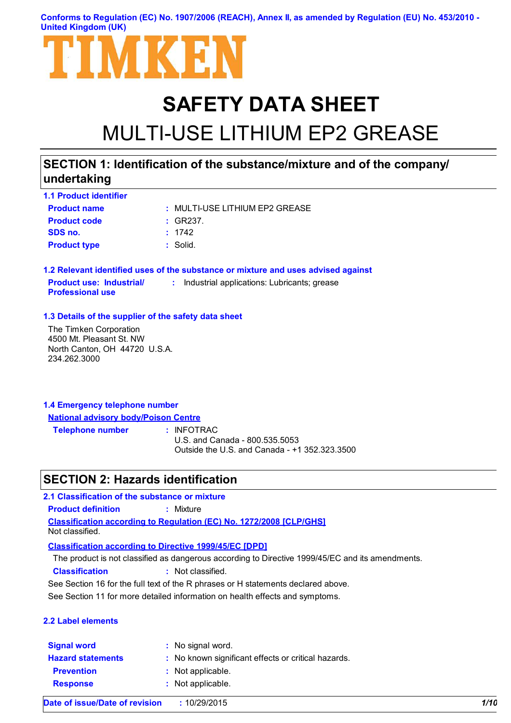**Conforms to Regulation (EC) No. 1907/2006 (REACH), Annex II, as amended by Regulation (EU) No. 453/2010 - United Kingdom (UK)**



# **SAFETY DATA SHEET** MULTI-USE LITHIUM EP2 GREASE

### **SECTION 1: Identification of the substance/mixture and of the company/ undertaking**

| <b>1.1 Product identifier</b> |                                |
|-------------------------------|--------------------------------|
| <b>Product name</b>           | : MULTI-USE LITHIUM EP2 GREASE |
| <b>Product code</b>           | $\pm$ GR237.                   |
| SDS no.                       | : 1742                         |
| <b>Product type</b>           | : Solid.                       |

**1.2 Relevant identified uses of the substance or mixture and uses advised against Product use: Industrial/ Professional use :** Industrial applications: Lubricants; grease

#### **1.3 Details of the supplier of the safety data sheet**

The Timken Corporation 4500 Mt. Pleasant St. NW North Canton, OH 44720 U.S.A. 234.262.3000

| 1.4 Emergency telephone number              |  |
|---------------------------------------------|--|
| <b>National advisory body/Poison Centre</b> |  |

**Telephone number :**

: INFOTRAC

U.S. and Canada - 800.535.5053 Outside the U.S. and Canada - +1 352.323.3500

### **SECTION 2: Hazards identification**

**Classification according to Regulation (EC) No. 1272/2008 [CLP/GHS] 2.1 Classification of the substance or mixture Product definition :** Mixture Not classified.

**Classification according to Directive 1999/45/EC [DPD]**

The product is not classified as dangerous according to Directive 1999/45/EC and its amendments.

**Classification :** Not classified.

See Section 16 for the full text of the R phrases or H statements declared above.

See Section 11 for more detailed information on health effects and symptoms.

#### **2.2 Label elements**

| <b>Signal word</b>       | : No signal word.                                   |
|--------------------------|-----------------------------------------------------|
| <b>Hazard statements</b> | : No known significant effects or critical hazards. |
| <b>Prevention</b>        | : Not applicable.                                   |
| <b>Response</b>          | : Not applicable.                                   |
|                          |                                                     |

**Date of issue/Date of revision :** 10/29/2015 *1/10*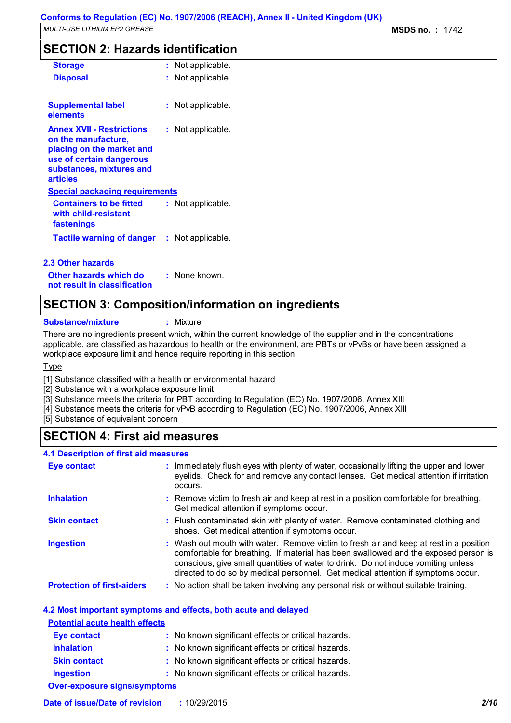### **SECTION 2: Hazards identification**

| <b>Storage</b>                                                                                                                                           | : Not applicable.     |
|----------------------------------------------------------------------------------------------------------------------------------------------------------|-----------------------|
| <b>Disposal</b>                                                                                                                                          | Not applicable.       |
| <b>Supplemental label</b><br>elements                                                                                                                    | Not applicable.       |
| <b>Annex XVII - Restrictions</b><br>on the manufacture,<br>placing on the market and<br>use of certain dangerous<br>substances, mixtures and<br>articles | Not applicable.       |
| <b>Special packaging requirements</b>                                                                                                                    |                       |
| <b>Containers to be fitted</b><br>with child-resistant<br>fastenings                                                                                     | Not applicable.       |
| Tactile warning of danger                                                                                                                                | Not applicable.<br>t. |
| 2.3 Other hazards                                                                                                                                        |                       |

**Other hazards which do : not result in classification** : None known.

### **SECTION 3: Composition/information on ingredients**

**Substance/mixture :** Mixture

There are no ingredients present which, within the current knowledge of the supplier and in the concentrations applicable, are classified as hazardous to health or the environment, are PBTs or vPvBs or have been assigned a workplace exposure limit and hence require reporting in this section.

Type

[1] Substance classified with a health or environmental hazard

[2] Substance with a workplace exposure limit

[3] Substance meets the criteria for PBT according to Regulation (EC) No. 1907/2006, Annex XIII

[4] Substance meets the criteria for vPvB according to Regulation (EC) No. 1907/2006, Annex XIII

[5] Substance of equivalent concern

### **SECTION 4: First aid measures**

| <b>4.1 Description of first aid measures</b> |                                                                                                                                                                                                                                                                                                                                                        |
|----------------------------------------------|--------------------------------------------------------------------------------------------------------------------------------------------------------------------------------------------------------------------------------------------------------------------------------------------------------------------------------------------------------|
| <b>Eye contact</b>                           | : Immediately flush eyes with plenty of water, occasionally lifting the upper and lower<br>eyelids. Check for and remove any contact lenses. Get medical attention if irritation<br>occurs.                                                                                                                                                            |
| <b>Inhalation</b>                            | : Remove victim to fresh air and keep at rest in a position comfortable for breathing.<br>Get medical attention if symptoms occur.                                                                                                                                                                                                                     |
| <b>Skin contact</b>                          | : Flush contaminated skin with plenty of water. Remove contaminated clothing and<br>shoes. Get medical attention if symptoms occur.                                                                                                                                                                                                                    |
| <b>Ingestion</b>                             | : Wash out mouth with water. Remove victim to fresh air and keep at rest in a position<br>comfortable for breathing. If material has been swallowed and the exposed person is<br>conscious, give small quantities of water to drink. Do not induce vomiting unless<br>directed to do so by medical personnel. Get medical attention if symptoms occur. |
| <b>Protection of first-aiders</b>            | : No action shall be taken involving any personal risk or without suitable training.                                                                                                                                                                                                                                                                   |

#### **4.2 Most important symptoms and effects, both acute and delayed**

| <b>Potential acute health effects</b> |                                                     |  |
|---------------------------------------|-----------------------------------------------------|--|
| <b>Eye contact</b>                    | : No known significant effects or critical hazards. |  |
| <b>Inhalation</b>                     | : No known significant effects or critical hazards. |  |
| <b>Skin contact</b>                   | : No known significant effects or critical hazards. |  |
| <b>Ingestion</b>                      | : No known significant effects or critical hazards. |  |
| <b>Over-exposure signs/symptoms</b>   |                                                     |  |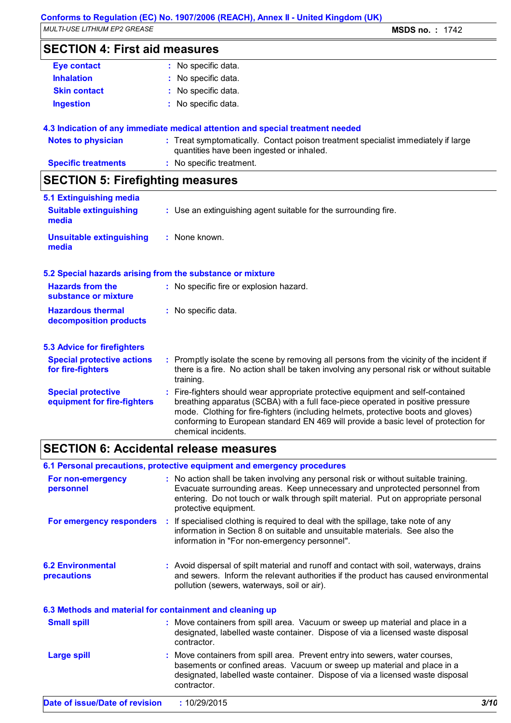*MULTI-USE LITHIUM EP2 GREASE* **MSDS no. :** 1742

### **SECTION 4: First aid measures**

| <b>Eye contact</b>  | : No specific data. |
|---------------------|---------------------|
| <b>Inhalation</b>   | : No specific data. |
| <b>Skin contact</b> | : No specific data. |
| <b>Ingestion</b>    | : No specific data. |
|                     |                     |

#### **4.3 Indication of any immediate medical attention and special treatment needed**

| Notes to physician         | : Treat symptomatically. Contact poison treatment specialist immediately if large |
|----------------------------|-----------------------------------------------------------------------------------|
|                            | quantities have been ingested or inhaled.                                         |
| <b>Specific treatments</b> | : No specific treatment.                                                          |

## **SECTION 5: Firefighting measures**

| 5.1 Extinguishing media                                   |                                                                                                                                                                                                                                                                                                                                                                       |
|-----------------------------------------------------------|-----------------------------------------------------------------------------------------------------------------------------------------------------------------------------------------------------------------------------------------------------------------------------------------------------------------------------------------------------------------------|
| <b>Suitable extinguishing</b><br>media                    | : Use an extinguishing agent suitable for the surrounding fire.                                                                                                                                                                                                                                                                                                       |
| <b>Unsuitable extinguishing</b><br>media                  | : None known.                                                                                                                                                                                                                                                                                                                                                         |
| 5.2 Special hazards arising from the substance or mixture |                                                                                                                                                                                                                                                                                                                                                                       |
| <b>Hazards from the</b><br>substance or mixture           | : No specific fire or explosion hazard.                                                                                                                                                                                                                                                                                                                               |
| <b>Hazardous thermal</b><br>decomposition products        | : No specific data.                                                                                                                                                                                                                                                                                                                                                   |
| <b>5.3 Advice for firefighters</b>                        |                                                                                                                                                                                                                                                                                                                                                                       |
| <b>Special protective actions</b><br>for fire-fighters    | : Promptly isolate the scene by removing all persons from the vicinity of the incident if<br>there is a fire. No action shall be taken involving any personal risk or without suitable<br>training.                                                                                                                                                                   |
| <b>Special protective</b><br>equipment for fire-fighters  | : Fire-fighters should wear appropriate protective equipment and self-contained<br>breathing apparatus (SCBA) with a full face-piece operated in positive pressure<br>mode. Clothing for fire-fighters (including helmets, protective boots and gloves)<br>conforming to European standard EN 469 will provide a basic level of protection for<br>chemical incidents. |

### **SECTION 6: Accidental release measures**

### **6.1 Personal precautions, protective equipment and emergency procedures**

| For non-emergency<br>personnel                           | : No action shall be taken involving any personal risk or without suitable training.<br>Evacuate surrounding areas. Keep unnecessary and unprotected personnel from<br>entering. Do not touch or walk through spilt material. Put on appropriate personal<br>protective equipment. |      |
|----------------------------------------------------------|------------------------------------------------------------------------------------------------------------------------------------------------------------------------------------------------------------------------------------------------------------------------------------|------|
| For emergency responders                                 | : If specialised clothing is required to deal with the spillage, take note of any<br>information in Section 8 on suitable and unsuitable materials. See also the<br>information in "For non-emergency personnel".                                                                  |      |
| <b>6.2 Environmental</b><br>precautions                  | : Avoid dispersal of spilt material and runoff and contact with soil, waterways, drains<br>and sewers. Inform the relevant authorities if the product has caused environmental<br>pollution (sewers, waterways, soil or air).                                                      |      |
| 6.3 Methods and material for containment and cleaning up |                                                                                                                                                                                                                                                                                    |      |
| <b>Small spill</b>                                       | : Move containers from spill area. Vacuum or sweep up material and place in a<br>designated, labelled waste container. Dispose of via a licensed waste disposal<br>contractor.                                                                                                     |      |
| <b>Large spill</b>                                       | : Move containers from spill area. Prevent entry into sewers, water courses,<br>basements or confined areas. Vacuum or sweep up material and place in a<br>designated, labelled waste container. Dispose of via a licensed waste disposal<br>contractor.                           |      |
| Date of issue/Date of revision                           | : 10/29/2015                                                                                                                                                                                                                                                                       | 3/10 |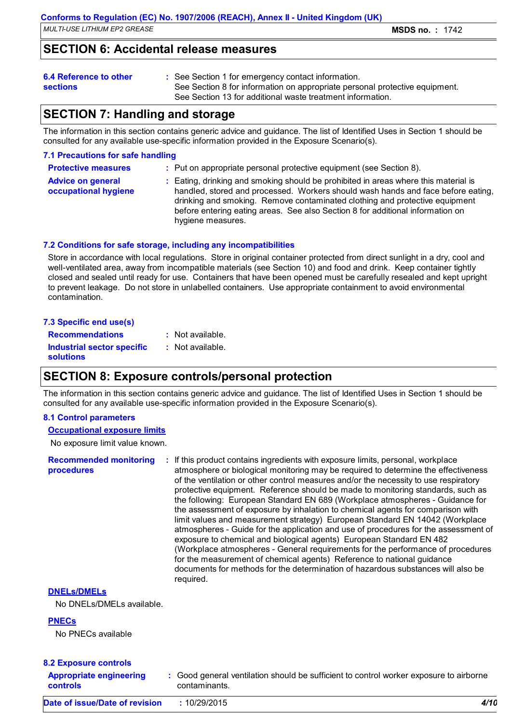### **SECTION 6: Accidental release measures**

### **6.4 Reference to other**

See Section 1 for emergency contact information. **:**

**sections**

See Section 8 for information on appropriate personal protective equipment. See Section 13 for additional waste treatment information.

### **SECTION 7: Handling and storage**

The information in this section contains generic advice and guidance. The list of Identified Uses in Section 1 should be consulted for any available use-specific information provided in the Exposure Scenario(s).

#### **7.1 Precautions for safe handling**

| <b>Protective measures</b> | : Put on appropriate personal protective equipment (see Section 8). |  |
|----------------------------|---------------------------------------------------------------------|--|
|----------------------------|---------------------------------------------------------------------|--|

| <b>Advice on general</b> | : Eating, drinking and smoking should be prohibited in areas where this material is                                                                                                |
|--------------------------|------------------------------------------------------------------------------------------------------------------------------------------------------------------------------------|
| occupational hygiene     | handled, stored and processed. Workers should wash hands and face before eating,                                                                                                   |
|                          | drinking and smoking. Remove contaminated clothing and protective equipment<br>before entering eating areas. See also Section 8 for additional information on<br>hygiene measures. |

#### **7.2 Conditions for safe storage, including any incompatibilities**

Store in accordance with local regulations. Store in original container protected from direct sunlight in a dry, cool and well-ventilated area, away from incompatible materials (see Section 10) and food and drink. Keep container tightly closed and sealed until ready for use. Containers that have been opened must be carefully resealed and kept upright to prevent leakage. Do not store in unlabelled containers. Use appropriate containment to avoid environmental contamination.

#### **7.3 Specific end use(s) Recommendations : Industrial sector specific : solutions** : Not available. : Not available.

### **SECTION 8: Exposure controls/personal protection**

The information in this section contains generic advice and guidance. The list of Identified Uses in Section 1 should be consulted for any available use-specific information provided in the Exposure Scenario(s).

#### **8.1 Control parameters**

#### **Occupational exposure limits**

No exposure limit value known.

**Recommended monitoring procedures :** If this product contains ingredients with exposure limits, personal, workplace atmosphere or biological monitoring may be required to determine the effectiveness of the ventilation or other control measures and/or the necessity to use respiratory protective equipment. Reference should be made to monitoring standards, such as the following: European Standard EN 689 (Workplace atmospheres - Guidance for the assessment of exposure by inhalation to chemical agents for comparison with limit values and measurement strategy) European Standard EN 14042 (Workplace atmospheres - Guide for the application and use of procedures for the assessment of exposure to chemical and biological agents) European Standard EN 482 (Workplace atmospheres - General requirements for the performance of procedures for the measurement of chemical agents) Reference to national guidance documents for methods for the determination of hazardous substances will also be required. **DNELs/DMELs**

No DNELs/DMELs available.

#### **PNECs**

No PNECs available

#### **8.2 Exposure controls**

| $\frac{1}{2}$ $\frac{1}{2}$ $\frac{1}{2}$ $\frac{1}{2}$ $\frac{1}{2}$ $\frac{1}{2}$ $\frac{1}{2}$ $\frac{1}{2}$ $\frac{1}{2}$ $\frac{1}{2}$ $\frac{1}{2}$ $\frac{1}{2}$<br><b>Appropriate engineering</b><br>controls | : Good general ventilation should be sufficient to control worker exposure to airborne<br>contaminants. |      |
|-----------------------------------------------------------------------------------------------------------------------------------------------------------------------------------------------------------------------|---------------------------------------------------------------------------------------------------------|------|
| Date of issue/Date of revision                                                                                                                                                                                        | 10/29/2015                                                                                              | 4/10 |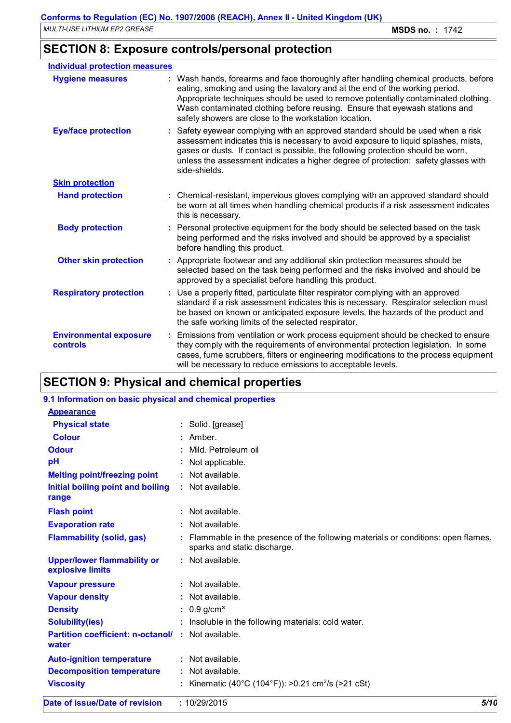### **SECTION 8: Exposure controls/personal protection**

| <b>Individual protection measures</b>            |                                                                                                                                                                                                                                                                                                                                                                                                   |
|--------------------------------------------------|---------------------------------------------------------------------------------------------------------------------------------------------------------------------------------------------------------------------------------------------------------------------------------------------------------------------------------------------------------------------------------------------------|
| <b>Hygiene measures</b>                          | : Wash hands, forearms and face thoroughly after handling chemical products, before<br>eating, smoking and using the lavatory and at the end of the working period.<br>Appropriate techniques should be used to remove potentially contaminated clothing.<br>Wash contaminated clothing before reusing. Ensure that eyewash stations and<br>safety showers are close to the workstation location. |
| <b>Eye/face protection</b>                       | : Safety eyewear complying with an approved standard should be used when a risk<br>assessment indicates this is necessary to avoid exposure to liquid splashes, mists,<br>gases or dusts. If contact is possible, the following protection should be worn,<br>unless the assessment indicates a higher degree of protection: safety glasses with<br>side-shields.                                 |
| <b>Skin protection</b>                           |                                                                                                                                                                                                                                                                                                                                                                                                   |
| <b>Hand protection</b>                           | : Chemical-resistant, impervious gloves complying with an approved standard should<br>be worn at all times when handling chemical products if a risk assessment indicates<br>this is necessary.                                                                                                                                                                                                   |
| <b>Body protection</b>                           | : Personal protective equipment for the body should be selected based on the task<br>being performed and the risks involved and should be approved by a specialist<br>before handling this product.                                                                                                                                                                                               |
| <b>Other skin protection</b>                     | : Appropriate footwear and any additional skin protection measures should be<br>selected based on the task being performed and the risks involved and should be<br>approved by a specialist before handling this product.                                                                                                                                                                         |
| <b>Respiratory protection</b>                    | : Use a properly fitted, particulate filter respirator complying with an approved<br>standard if a risk assessment indicates this is necessary. Respirator selection must<br>be based on known or anticipated exposure levels, the hazards of the product and<br>the safe working limits of the selected respirator.                                                                              |
| <b>Environmental exposure</b><br><b>controls</b> | : Emissions from ventilation or work process equipment should be checked to ensure<br>they comply with the requirements of environmental protection legislation. In some<br>cases, fume scrubbers, filters or engineering modifications to the process equipment<br>will be necessary to reduce emissions to acceptable levels.                                                                   |

### **SECTION 9: Physical and chemical properties**

#### **:** Not available. **Physical state Melting point/freezing point Initial boiling point and boiling range Vapour pressure Vapour density Solubility(ies) :** Solid. [grease] **:** Not available. **:** Not available. **:** Not available. **:** Insoluble in the following materials: cold water. **Odour** Mild. Petroleum oil **pH Colour** : Amber. **Evaporation rate Auto-ignition temperature Flash point :** Not available. **:** Not available. **:** Not available. **Partition coefficient: n-octanol/ :** Not available. **:** Not applicable. **Viscosity water Upper/lower flammability or explosive limits** : Not available. **:** Kinematic (40°C (104°F)): >0.21 cm<sup>2</sup>/s (>21 cSt) **9.1 Information on basic physical and chemical properties Appearance Decomposition temperature :** Not available. **Flammability (solid, gas) :** Flammable in the presence of the following materials or conditions: open flames, sparks and static discharge. **Density :** 0.9 g/cm<sup>3</sup>

**Date of issue/Date of revision :** 10/29/2015 *5/10*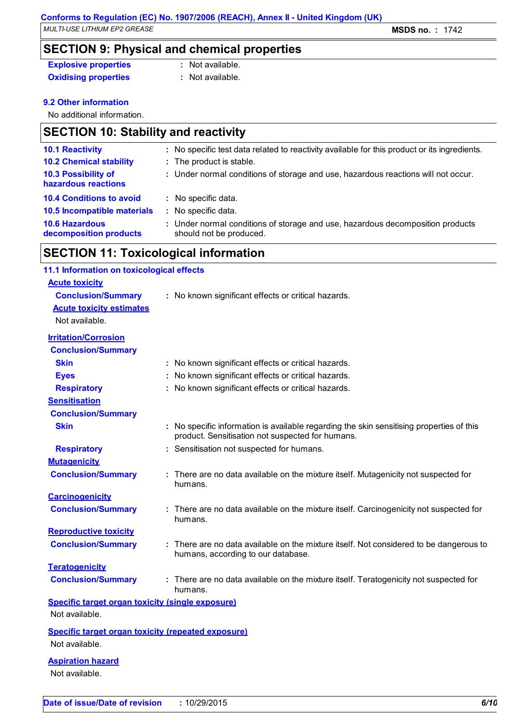**SECTION 9: Physical and chemical properties**

**Explosive properties :** Not available.

**Oxidising properties** : Not available.

#### **9.2 Other information**

No additional information.

### **SECTION 10: Stability and reactivity**

| : No specific test data related to reactivity available for this product or its ingredients.              |
|-----------------------------------------------------------------------------------------------------------|
| : The product is stable.                                                                                  |
| : Under normal conditions of storage and use, hazardous reactions will not occur.                         |
| : No specific data.                                                                                       |
| : No specific data.                                                                                       |
| : Under normal conditions of storage and use, hazardous decomposition products<br>should not be produced. |
|                                                                                                           |

### **SECTION 11: Toxicological information**

### **Acute toxicity Conclusion/Summary :** No known significant effects or critical hazards. **Carcinogenicity Conclusion/Summary :** There are no data available on the mixture itself. Carcinogenicity not suspected for humans. **Mutagenicity Conclusion/Summary :** There are no data available on the mixture itself. Mutagenicity not suspected for humans. **Teratogenicity Conclusion/Summary :** There are no data available on the mixture itself. Teratogenicity not suspected for humans. **Reproductive toxicity Conclusion/Summary :** There are no data available on the mixture itself. Not considered to be dangerous to humans, according to our database. **Irritation/Corrosion Conclusion/Summary Skin Skin Skin Skin Skin Skin Skin Skin E n Skin Skin Skin Skin Skin Skin Skin Skin Skin Skin Skin Skin Skin Skin Skin Skin Skin Skin Skin Skin Skin Skinn Sk Eyes :** No known significant effects or critical hazards. **Respiratory :** No known significant effects or critical hazards. **Sensitisation Conclusion/Summary Skin Example 20 Skin :** No specific information is available regarding the skin sensitising properties of this product. Sensitisation not suspected for humans. **Respiratory :** Sensitisation not suspected for humans. **11.1 Information on toxicological effects Acute toxicity estimates** Not available. **Specific target organ toxicity (single exposure) Specific target organ toxicity (repeated exposure) Aspiration hazard** Not available. Not available. Not available.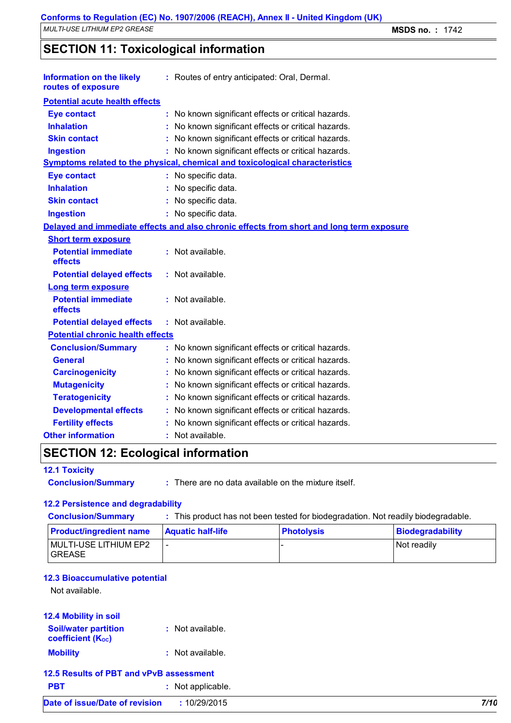**SECTION 11: Toxicological information**

| <b>Potential acute health effects</b><br><b>Eye contact</b><br>No known significant effects or critical hazards.<br><b>Inhalation</b><br>No known significant effects or critical hazards.<br><b>Skin contact</b><br>No known significant effects or critical hazards.<br>No known significant effects or critical hazards.<br><b>Ingestion</b><br>Symptoms related to the physical, chemical and toxicological characteristics<br><b>Eye contact</b><br>: No specific data. |  |
|------------------------------------------------------------------------------------------------------------------------------------------------------------------------------------------------------------------------------------------------------------------------------------------------------------------------------------------------------------------------------------------------------------------------------------------------------------------------------|--|
|                                                                                                                                                                                                                                                                                                                                                                                                                                                                              |  |
|                                                                                                                                                                                                                                                                                                                                                                                                                                                                              |  |
|                                                                                                                                                                                                                                                                                                                                                                                                                                                                              |  |
|                                                                                                                                                                                                                                                                                                                                                                                                                                                                              |  |
|                                                                                                                                                                                                                                                                                                                                                                                                                                                                              |  |
|                                                                                                                                                                                                                                                                                                                                                                                                                                                                              |  |
|                                                                                                                                                                                                                                                                                                                                                                                                                                                                              |  |
| <b>Inhalation</b><br>No specific data.                                                                                                                                                                                                                                                                                                                                                                                                                                       |  |
| <b>Skin contact</b><br>No specific data.                                                                                                                                                                                                                                                                                                                                                                                                                                     |  |
| <b>Ingestion</b><br>: No specific data.                                                                                                                                                                                                                                                                                                                                                                                                                                      |  |
| Delayed and immediate effects and also chronic effects from short and long term exposure                                                                                                                                                                                                                                                                                                                                                                                     |  |
| <b>Short term exposure</b>                                                                                                                                                                                                                                                                                                                                                                                                                                                   |  |
| <b>Potential immediate</b><br>: Not available.<br>effects                                                                                                                                                                                                                                                                                                                                                                                                                    |  |
| : Not available.<br><b>Potential delayed effects</b>                                                                                                                                                                                                                                                                                                                                                                                                                         |  |
| <b>Long term exposure</b>                                                                                                                                                                                                                                                                                                                                                                                                                                                    |  |
| <b>Potential immediate</b><br>: Not available.<br>effects                                                                                                                                                                                                                                                                                                                                                                                                                    |  |
| <b>Potential delayed effects</b><br>: Not available.                                                                                                                                                                                                                                                                                                                                                                                                                         |  |
| <b>Potential chronic health effects</b>                                                                                                                                                                                                                                                                                                                                                                                                                                      |  |
| <b>Conclusion/Summary</b><br>No known significant effects or critical hazards.                                                                                                                                                                                                                                                                                                                                                                                               |  |
| <b>General</b><br>No known significant effects or critical hazards.                                                                                                                                                                                                                                                                                                                                                                                                          |  |
| <b>Carcinogenicity</b><br>No known significant effects or critical hazards.                                                                                                                                                                                                                                                                                                                                                                                                  |  |
| <b>Mutagenicity</b><br>No known significant effects or critical hazards.                                                                                                                                                                                                                                                                                                                                                                                                     |  |
| <b>Teratogenicity</b><br>No known significant effects or critical hazards.                                                                                                                                                                                                                                                                                                                                                                                                   |  |
| <b>Developmental effects</b><br>No known significant effects or critical hazards.                                                                                                                                                                                                                                                                                                                                                                                            |  |
| <b>Fertility effects</b><br>No known significant effects or critical hazards.                                                                                                                                                                                                                                                                                                                                                                                                |  |
| <b>Other information</b><br>Not available.                                                                                                                                                                                                                                                                                                                                                                                                                                   |  |

## **SECTION 12: Ecological information**

#### **12.1 Toxicity**

**Conclusion/Summary :** There are no data available on the mixture itself.

#### **12.2 Persistence and degradability**

| <b>Conclusion/Summary</b>               | : This product has not been tested for biodegradation. Not readily biodegradable. |                   |                  |
|-----------------------------------------|-----------------------------------------------------------------------------------|-------------------|------------------|
| <b>Product/ingredient name</b>          | <b>Aquatic half-life</b>                                                          | <b>Photolysis</b> | Biodegradability |
| MULTI-USE LITHIUM EP2<br><b>IGREASE</b> | $\overline{\phantom{a}}$                                                          |                   | Not readily      |

#### **12.3 Bioaccumulative potential**

Not available.

#### **12.4 Mobility in soil**

| <b>Soil/water partition</b>    | : Not available. |
|--------------------------------|------------------|
| coefficient (K <sub>oc</sub> ) |                  |

| <b>Mobility</b> |  | : Not available. |
|-----------------|--|------------------|
|-----------------|--|------------------|

### **12.5 Results of PBT and vPvB assessment**

| <b>PBT</b> | : Not applicable. |
|------------|-------------------|
|------------|-------------------|

| Date of issue/Date of revision | 10/29/2015 | 7/10 |
|--------------------------------|------------|------|
|                                |            |      |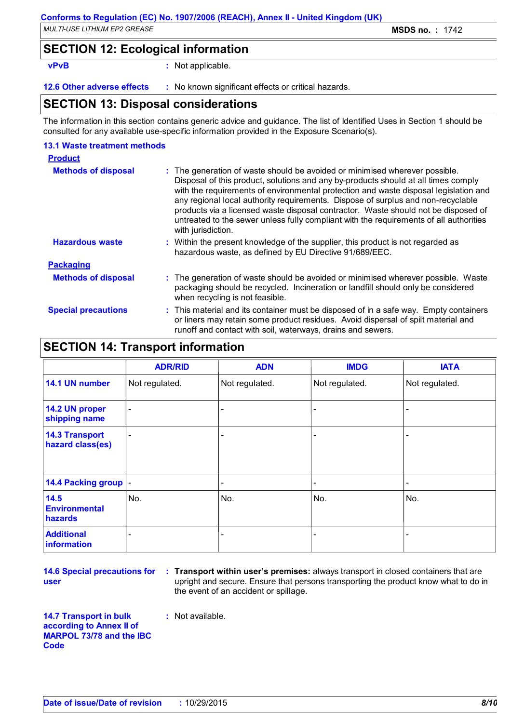*MULTI-USE LITHIUM EP2 GREASE* **MSDS no. :** 1742

### **SECTION 12: Ecological information**

**vPvB :** Not applicable.

**12.6 Other adverse effects** : No known significant effects or critical hazards.

### **SECTION 13: Disposal considerations**

The information in this section contains generic advice and guidance. The list of Identified Uses in Section 1 should be consulted for any available use-specific information provided in the Exposure Scenario(s).

#### **13.1 Waste treatment methods**

| <b>Product</b>             |                                                                                                                                                                                                                                                                                                                                                                                                                                                                                                                                                     |
|----------------------------|-----------------------------------------------------------------------------------------------------------------------------------------------------------------------------------------------------------------------------------------------------------------------------------------------------------------------------------------------------------------------------------------------------------------------------------------------------------------------------------------------------------------------------------------------------|
| <b>Methods of disposal</b> | : The generation of waste should be avoided or minimised wherever possible.<br>Disposal of this product, solutions and any by-products should at all times comply<br>with the requirements of environmental protection and waste disposal legislation and<br>any regional local authority requirements. Dispose of surplus and non-recyclable<br>products via a licensed waste disposal contractor. Waste should not be disposed of<br>untreated to the sewer unless fully compliant with the requirements of all authorities<br>with jurisdiction. |
| <b>Hazardous waste</b>     | : Within the present knowledge of the supplier, this product is not regarded as<br>hazardous waste, as defined by EU Directive 91/689/EEC.                                                                                                                                                                                                                                                                                                                                                                                                          |
| <b>Packaging</b>           |                                                                                                                                                                                                                                                                                                                                                                                                                                                                                                                                                     |
| <b>Methods of disposal</b> | : The generation of waste should be avoided or minimised wherever possible. Waste<br>packaging should be recycled. Incineration or landfill should only be considered<br>when recycling is not feasible.                                                                                                                                                                                                                                                                                                                                            |
| <b>Special precautions</b> | : This material and its container must be disposed of in a safe way. Empty containers<br>or liners may retain some product residues. Avoid dispersal of spilt material and<br>runoff and contact with soil, waterways, drains and sewers.                                                                                                                                                                                                                                                                                                           |

### **SECTION 14: Transport information**

|                                           | <b>ADR/RID</b>           | <b>ADN</b>               | <b>IMDG</b>    | <b>IATA</b>              |
|-------------------------------------------|--------------------------|--------------------------|----------------|--------------------------|
| 14.1 UN number                            | Not regulated.           | Not regulated.           | Not regulated. | Not regulated.           |
| 14.2 UN proper<br>shipping name           | $\overline{\phantom{a}}$ |                          |                |                          |
| <b>14.3 Transport</b><br>hazard class(es) | $\overline{\phantom{a}}$ |                          |                |                          |
| 14.4 Packing group  -                     |                          | $\overline{\phantom{a}}$ | Ξ.             | $\overline{\phantom{a}}$ |
| 14.5<br><b>Environmental</b><br>hazards   | No.                      | No.                      | No.            | No.                      |
| <b>Additional</b><br>information          | -                        | -                        | -              | ۰                        |

**14.6 Special precautions for user**

**Transport within user's premises:** always transport in closed containers that are **:** upright and secure. Ensure that persons transporting the product know what to do in the event of an accident or spillage.

**14.7 Transport in bulk according to Annex II of MARPOL 73/78 and the IBC Code**

**:** Not available.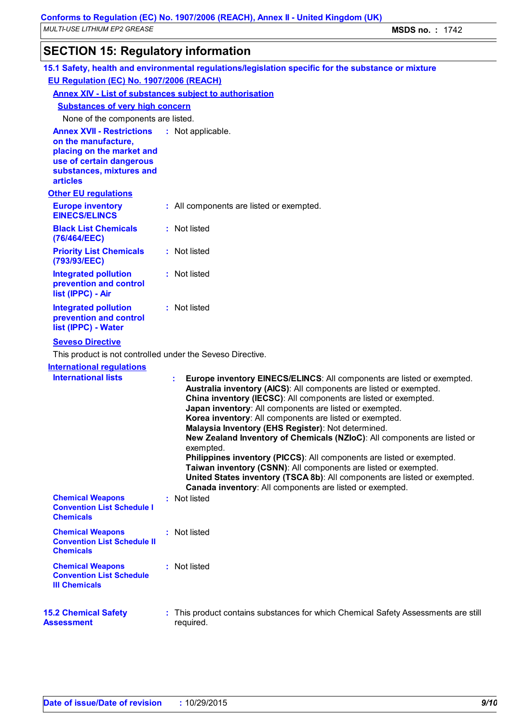## **SECTION 15: Regulatory information**

| 15.1 Safety, health and environmental regulations/legislation specific for the substance or mixture                                                             |  |                                                                                                                                                                                                                                                                                                                                                                                                                                                                                                                                                                                                                                                                                                                                                                                 |
|-----------------------------------------------------------------------------------------------------------------------------------------------------------------|--|---------------------------------------------------------------------------------------------------------------------------------------------------------------------------------------------------------------------------------------------------------------------------------------------------------------------------------------------------------------------------------------------------------------------------------------------------------------------------------------------------------------------------------------------------------------------------------------------------------------------------------------------------------------------------------------------------------------------------------------------------------------------------------|
| EU Regulation (EC) No. 1907/2006 (REACH)                                                                                                                        |  |                                                                                                                                                                                                                                                                                                                                                                                                                                                                                                                                                                                                                                                                                                                                                                                 |
| <b>Annex XIV - List of substances subject to authorisation</b>                                                                                                  |  |                                                                                                                                                                                                                                                                                                                                                                                                                                                                                                                                                                                                                                                                                                                                                                                 |
| <b>Substances of very high concern</b>                                                                                                                          |  |                                                                                                                                                                                                                                                                                                                                                                                                                                                                                                                                                                                                                                                                                                                                                                                 |
| None of the components are listed.                                                                                                                              |  |                                                                                                                                                                                                                                                                                                                                                                                                                                                                                                                                                                                                                                                                                                                                                                                 |
| <b>Annex XVII - Restrictions</b><br>on the manufacture,<br>placing on the market and<br>use of certain dangerous<br>substances, mixtures and<br><b>articles</b> |  | : Not applicable.                                                                                                                                                                                                                                                                                                                                                                                                                                                                                                                                                                                                                                                                                                                                                               |
| <b>Other EU regulations</b>                                                                                                                                     |  |                                                                                                                                                                                                                                                                                                                                                                                                                                                                                                                                                                                                                                                                                                                                                                                 |
| <b>Europe inventory</b><br><b>EINECS/ELINCS</b>                                                                                                                 |  | : All components are listed or exempted.                                                                                                                                                                                                                                                                                                                                                                                                                                                                                                                                                                                                                                                                                                                                        |
| <b>Black List Chemicals</b><br>(76/464/EEC)                                                                                                                     |  | : Not listed                                                                                                                                                                                                                                                                                                                                                                                                                                                                                                                                                                                                                                                                                                                                                                    |
| <b>Priority List Chemicals</b><br>(793/93/EEC)                                                                                                                  |  | : Not listed                                                                                                                                                                                                                                                                                                                                                                                                                                                                                                                                                                                                                                                                                                                                                                    |
| <b>Integrated pollution</b><br>prevention and control<br>list (IPPC) - Air                                                                                      |  | : Not listed                                                                                                                                                                                                                                                                                                                                                                                                                                                                                                                                                                                                                                                                                                                                                                    |
| <b>Integrated pollution</b><br>prevention and control<br>list (IPPC) - Water                                                                                    |  | : Not listed                                                                                                                                                                                                                                                                                                                                                                                                                                                                                                                                                                                                                                                                                                                                                                    |
| <b>Seveso Directive</b>                                                                                                                                         |  |                                                                                                                                                                                                                                                                                                                                                                                                                                                                                                                                                                                                                                                                                                                                                                                 |
| This product is not controlled under the Seveso Directive.                                                                                                      |  |                                                                                                                                                                                                                                                                                                                                                                                                                                                                                                                                                                                                                                                                                                                                                                                 |
| <b>International regulations</b><br><b>International lists</b>                                                                                                  |  | Europe inventory EINECS/ELINCS: All components are listed or exempted.<br>÷.<br>Australia inventory (AICS): All components are listed or exempted.<br>China inventory (IECSC): All components are listed or exempted.<br>Japan inventory: All components are listed or exempted.<br>Korea inventory: All components are listed or exempted.<br>Malaysia Inventory (EHS Register): Not determined.<br>New Zealand Inventory of Chemicals (NZIoC): All components are listed or<br>exempted.<br>Philippines inventory (PICCS): All components are listed or exempted.<br>Taiwan inventory (CSNN): All components are listed or exempted.<br>United States inventory (TSCA 8b): All components are listed or exempted.<br>Canada inventory: All components are listed or exempted. |
| <b>Chemical Weapons</b><br><b>Convention List Schedule I</b><br><b>Chemicals</b>                                                                                |  | : Not listed                                                                                                                                                                                                                                                                                                                                                                                                                                                                                                                                                                                                                                                                                                                                                                    |
| <b>Chemical Weapons</b><br><b>Convention List Schedule II</b><br><b>Chemicals</b>                                                                               |  | : Not listed                                                                                                                                                                                                                                                                                                                                                                                                                                                                                                                                                                                                                                                                                                                                                                    |
| <b>Chemical Weapons</b><br><b>Convention List Schedule</b><br><b>III Chemicals</b>                                                                              |  | : Not listed                                                                                                                                                                                                                                                                                                                                                                                                                                                                                                                                                                                                                                                                                                                                                                    |
| <b>15.2 Chemical Safety</b><br><b>Assessment</b>                                                                                                                |  | : This product contains substances for which Chemical Safety Assessments are still<br>required.                                                                                                                                                                                                                                                                                                                                                                                                                                                                                                                                                                                                                                                                                 |